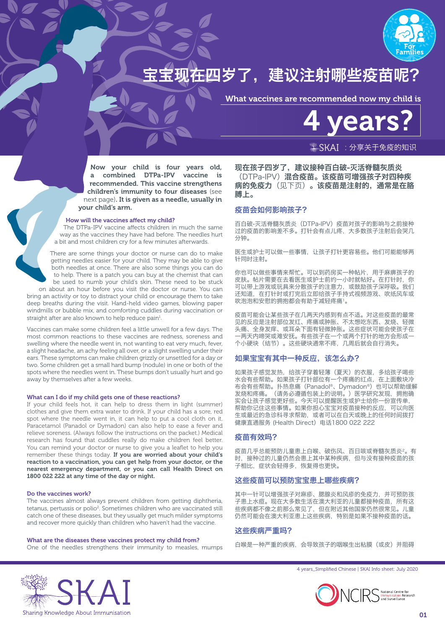

# 在四岁了,建议注射哪些疫苗呢?

What vaccines are recommended now my child is

ea

 $\frac{1}{2}$ SKAI: 分享关于免疫的知识

Now your child is four years old, a combined DTPa-IPV vaccine is recommended. This vaccine strengthens children's immunity to four diseases (see next page). It is given as a needle, usually in your child's arm.

## How will the vaccines affect my child?

The DTPa-IPV vaccine affects children in much the same way as the vaccines they have had before. The needles hurt a bit and most children cry for a few minutes afterwards.

There are some things your doctor or nurse can do to make getting needles easier for your child. They may be able to give both needles at once. There are also some things you can do to help. There is a patch you can buy at the chemist that can be used to numb your child's skin. These need to be stuck on about an hour before you visit the doctor or nurse. You can

bring an activity or toy to distract your child or encourage them to take deep breaths during the visit. Hand-held video games, blowing paper windmills or bubble mix, and comforting cuddles during vaccination or straight after are also known to help reduce pain<sup>1</sup>.

Vaccines can make some children feel a little unwell for a few days. The most common reactions to these vaccines are redness, soreness and swelling where the needle went in, not wanting to eat very much, fever, a slight headache, an achy feeling all over, or a slight swelling under their ears. These symptoms can make children grizzly or unsettled for a day or two. Some children get a small hard bump (nodule) in one or both of the spots where the needles went in. These bumps don't usually hurt and go away by themselves after a few weeks.

#### What can I do if my child gets one of these reactions?

If your child feels hot, it can help to dress them in light (summer) clothes and give them extra water to drink. If your child has a sore, red spot where the needle went in, it can help to put a cool cloth on it. Paracetamol (Panadol or Dymadon) can also help to ease a fever and relieve soreness. (Always follow the instructions on the packet.) Medical research has found that cuddles really do make children feel better. You can remind your doctor or nurse to give you a leaflet to help you remember these things today. If you are worried about your child's reaction to a vaccination, you can get help from your doctor, or the nearest emergency department, or you can call Health Direct on 1800 022 222 at any time of the day or night.

#### Do the vaccines work?

The vaccines almost always prevent children from getting diphtheria, tetanus, pertussis or polio<sup>2</sup>. Sometimes children who are vaccinated still catch one of these diseases, but they usually get much milder symptoms and recover more quickly than children who haven't had the vaccine.

What are the diseases these vaccines protect my child from? One of the needles strengthens their immunity to measles, mumps 现在孩子四岁了,建议接种百白破-灭活脊髓灰质炎 (DTPa-IPV)混合疫苗。该疫苗可增强孩子对四种疾 病的免疫力(见下页)。该疫苗是注射的,通常是在胳 膊上。

# 疫苗会如何影响孩子?

百白破-灭活脊髓灰质炎(DTPa-IPV)疫苗对孩子的影响与之前接种 过的疫苗的影响差不多。打针会有点儿疼,大多数孩子注射后会哭几 分钟。

医生或护士可以做一些事情,让孩子打针更容易些。他们可能能够两 针同时注射。

你也可以做些事情来帮忙。可以到药房买一种帖片,用于麻痹孩子的 皮肤。帖片需要在去看医生或护士前约一小时就帖好。在打针时,你 可以带上游戏或玩具来分散孩子的注意力,或鼓励孩子深呼吸。我们 还知道,在打针时或打完后立即给孩子手持式视频游戏、吹纸风车或 吹泡泡和安慰的拥抱都会有助于减轻疼痛1。

疫苗可能会让某些孩子在几两天内感到有点不适。对这些疫苗的最常 见的反应是注射部位发红、疼痛或肿胀、不太想吃东西、发烧、轻微 头痛、全身发痒、或耳朵下面有轻微肿胀。这些症状可能会使孩子在 一两天内啼哭或难安抚。有些孩子在一个或两个打针的地方会形成一 个小硬块(结节)。这些硬块通常不疼,几周后就会自行消失。

## 如果宝宝有其中一种反应,该怎么办?

如果孩子感觉发热,给孩子穿着轻薄(夏天)的衣服,多给孩子喝些 水会有些帮助。如果孩子打针部位有一个疼痛的红点,在上面敷块冷 布会有些帮助。扑热息痛(Panadol®、Dymadon®)也可以帮助缓解 发烧和疼痛。(请务必遵循包装上的说明。)医学研究发现,拥抱确 实会让孩子感觉更好些。今天可以提醒医生或护士给你一份宣传单, 帮助你记住这些事情。如果你担心宝宝对疫苗接种的反应,可以向医 生或最近的急诊科寻求帮助,或者可以在白天或晚上的任何时间拨打 ————————————————————<br>健康直通服务 (Health Direct) 电话1800 022 222

## 疫苗有效吗?

疫苗几乎总能预防儿童患上白喉、破伤风、百日咳或脊髓灰质炎2。有 时,接种过的儿童仍然会患上其中某种疾病,但与没有接种疫苗的孩 子相比,症状会轻得多,恢复得也更快。

# 这些疫苗可以预防宝宝患上哪些疾病?

其中一针可以增强孩子对麻疹、腮腺炎和风疹的免疫力,并可预防孩 子患上水痘。现在大多数生活在澳大利亚的儿童都接种疫苗,所有这 些疾病都不像之前那么常见了,但在附近其他国家仍然很常见。儿童 仍然可能会在澳大利亚患上这些疾病,特别是如果不接种疫苗的话。

# 这些疾病严重吗?

白喉是一种严重的疾病,会导致孩子的咽喉生出粘膜(或皮)并阻碍



4 years\_Simplified Chinese | SKAI Info sheet: July 2020